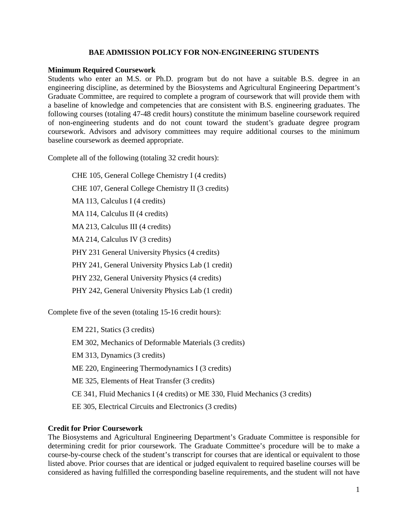## **BAE ADMISSION POLICY FOR NON-ENGINEERING STUDENTS**

#### **Minimum Required Coursework**

Students who enter an M.S. or Ph.D. program but do not have a suitable B.S. degree in an engineering discipline, as determined by the Biosystems and Agricultural Engineering Department's Graduate Committee, are required to complete a program of coursework that will provide them with a baseline of knowledge and competencies that are consistent with B.S. engineering graduates. The following courses (totaling 47-48 credit hours) constitute the minimum baseline coursework required of non-engineering students and do not count toward the student's graduate degree program coursework. Advisors and advisory committees may require additional courses to the minimum baseline coursework as deemed appropriate.

Complete all of the following (totaling 32 credit hours):

CHE 105, General College Chemistry I (4 credits) CHE 107, General College Chemistry II (3 credits) MA 113, Calculus I (4 credits) MA 114, Calculus II (4 credits) MA 213, Calculus III (4 credits) MA 214, Calculus IV (3 credits) PHY 231 General University Physics (4 credits) PHY 241, General University Physics Lab (1 credit) PHY 232, General University Physics (4 credits) PHY 242, General University Physics Lab (1 credit)

Complete five of the seven (totaling 15-16 credit hours):

EM 221, Statics (3 credits) EM 302, Mechanics of Deformable Materials (3 credits) EM 313, Dynamics (3 credits) ME 220, Engineering Thermodynamics I (3 credits) ME 325, Elements of Heat Transfer (3 credits) CE 341, Fluid Mechanics I (4 credits) or ME 330, Fluid Mechanics (3 credits) EE 305, Electrical Circuits and Electronics (3 credits)

# **Credit for Prior Coursework**

The Biosystems and Agricultural Engineering Department's Graduate Committee is responsible for determining credit for prior coursework. The Graduate Committee's procedure will be to make a course-by-course check of the student's transcript for courses that are identical or equivalent to those listed above. Prior courses that are identical or judged equivalent to required baseline courses will be considered as having fulfilled the corresponding baseline requirements, and the student will not have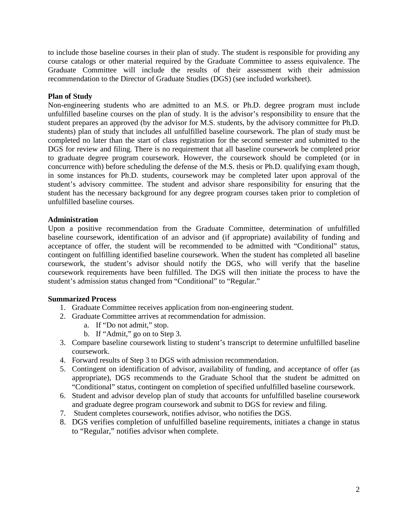to include those baseline courses in their plan of study. The student is responsible for providing any course catalogs or other material required by the Graduate Committee to assess equivalence. The Graduate Committee will include the results of their assessment with their admission recommendation to the Director of Graduate Studies (DGS) (see included worksheet).

## **Plan of Study**

Non-engineering students who are admitted to an M.S. or Ph.D. degree program must include unfulfilled baseline courses on the plan of study. It is the advisor's responsibility to ensure that the student prepares an approved (by the advisor for M.S. students, by the advisory committee for Ph.D. students) plan of study that includes all unfulfilled baseline coursework. The plan of study must be completed no later than the start of class registration for the second semester and submitted to the DGS for review and filing. There is no requirement that all baseline coursework be completed prior to graduate degree program coursework. However, the coursework should be completed (or in concurrence with) before scheduling the defense of the M.S. thesis or Ph.D. qualifying exam though, in some instances for Ph.D. students, coursework may be completed later upon approval of the student's advisory committee. The student and advisor share responsibility for ensuring that the student has the necessary background for any degree program courses taken prior to completion of unfulfilled baseline courses.

## **Administration**

Upon a positive recommendation from the Graduate Committee, determination of unfulfilled baseline coursework, identification of an advisor and (if appropriate) availability of funding and acceptance of offer, the student will be recommended to be admitted with "Conditional" status, contingent on fulfilling identified baseline coursework. When the student has completed all baseline coursework, the student's advisor should notify the DGS, who will verify that the baseline coursework requirements have been fulfilled. The DGS will then initiate the process to have the student's admission status changed from "Conditional" to "Regular."

#### **Summarized Process**

- 1. Graduate Committee receives application from non-engineering student.
- 2. Graduate Committee arrives at recommendation for admission.
	- a. If "Do not admit," stop.
	- b. If "Admit," go on to Step 3.
- 3. Compare baseline coursework listing to student's transcript to determine unfulfilled baseline coursework.
- 4. Forward results of Step 3 to DGS with admission recommendation.
- 5. Contingent on identification of advisor, availability of funding, and acceptance of offer (as appropriate), DGS recommends to the Graduate School that the student be admitted on "Conditional" status, contingent on completion of specified unfulfilled baseline coursework.
- 6. Student and advisor develop plan of study that accounts for unfulfilled baseline coursework and graduate degree program coursework and submit to DGS for review and filing.
- 7. Student completes coursework, notifies advisor, who notifies the DGS.
- 8. DGS verifies completion of unfulfilled baseline requirements, initiates a change in status to "Regular," notifies advisor when complete.